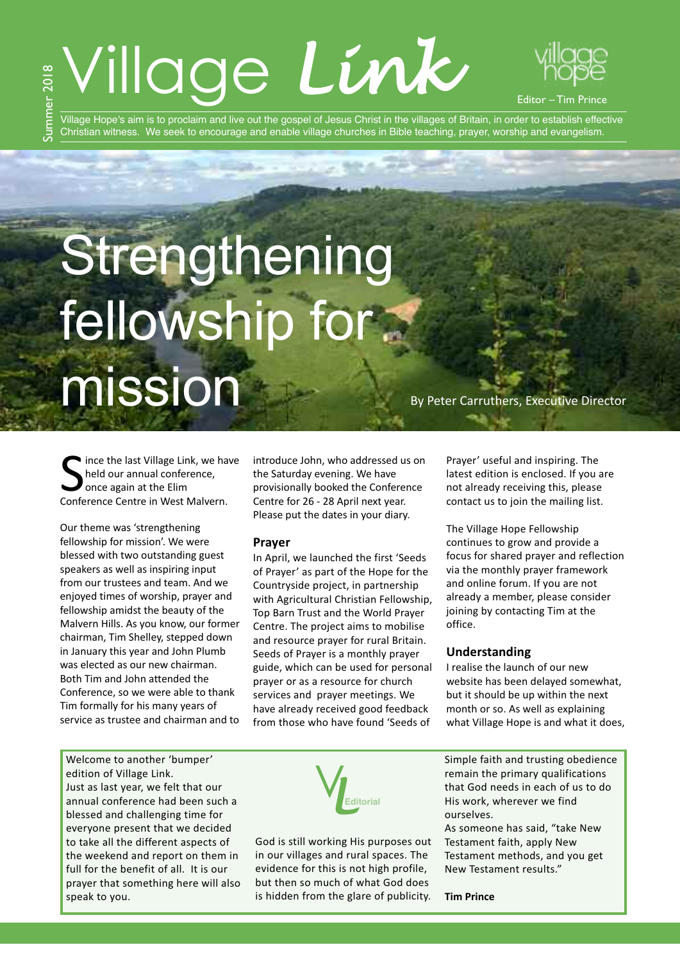# Village *Link*



Editor – Tim Prince

Village Hope's aim is to proclaim and live out the gospel of Jesus Christ in the villages of Britain, in order to establish effective Christian witness. We seek to encourage and enable village churches in Bible teaching, prayer, worship and evangelism.

# **Strengthening** fellowship for

mission By Peter Carruthers, Executive Director

Since the last Village Link, we has<br>
Sheld our annual conference,<br>
Conference Centre in West Malvern. If ince the last Village Link, we have held our annual conference, once again at the Elim

Our theme was 'strengthening fellowship for mission'. We were blessed with two outstanding guest speakers as well as inspiring input from our trustees and team. And we enjoyed times of worship, prayer and fellowship amidst the beauty of the Malvern Hills. As you know, our former chairman, Tim Shelley, stepped down in January this year and John Plumb was elected as our new chairman. Both Tim and John attended the Conference, so we were able to thank Tim formally for his many years of service as trustee and chairman and to

introduce John, who addressed us on the Saturday evening. We have provisionally booked the Conference Centre for 26 - 28 April next year. Please put the dates in your diary.

## **Prayer**

In April, we launched the first 'Seeds of Prayer' as part of the Hope for the Countryside project, in partnership with Agricultural Christian Fellowship, Top Barn Trust and the World Prayer Centre. The project aims to mobilise and resource prayer for rural Britain. Seeds of Prayer is a monthly prayer guide, which can be used for personal prayer or as a resource for church services and prayer meetings. We have already received good feedback from those who have found 'Seeds of

Prayer' useful and inspiring. The latest edition is enclosed. If you are not already receiving this, please contact us to join the mailing list.

The Village Hope Fellowship continues to grow and provide a focus for shared prayer and reflection via the monthly prayer framework and online forum. If you are not already a member, please consider joining by contacting Tim at the office.

## **Understanding**

I realise the launch of our new website has been delayed somewhat, but it should be up within the next month or so. As well as explaining what Village Hope is and what it does,

Welcome to another 'bumper' edition of Village Link. Just as last year, we felt that our annual conference had been such a blessed and challenging time for everyone present that we decided to take all the different aspects of the weekend and report on them in full for the benefit of all. It is our prayer that something here will also speak to you.



God is still working His purposes out in our villages and rural spaces. The evidence for this is not high profile, but then so much of what God does is hidden from the glare of publicity.

Simple faith and trusting obedience remain the primary qualifications that God needs in each of us to do His work, wherever we find ourselves.

As someone has said, "take New Testament faith, apply New Testament methods, and you get New Testament results."

#### **Tim Prince**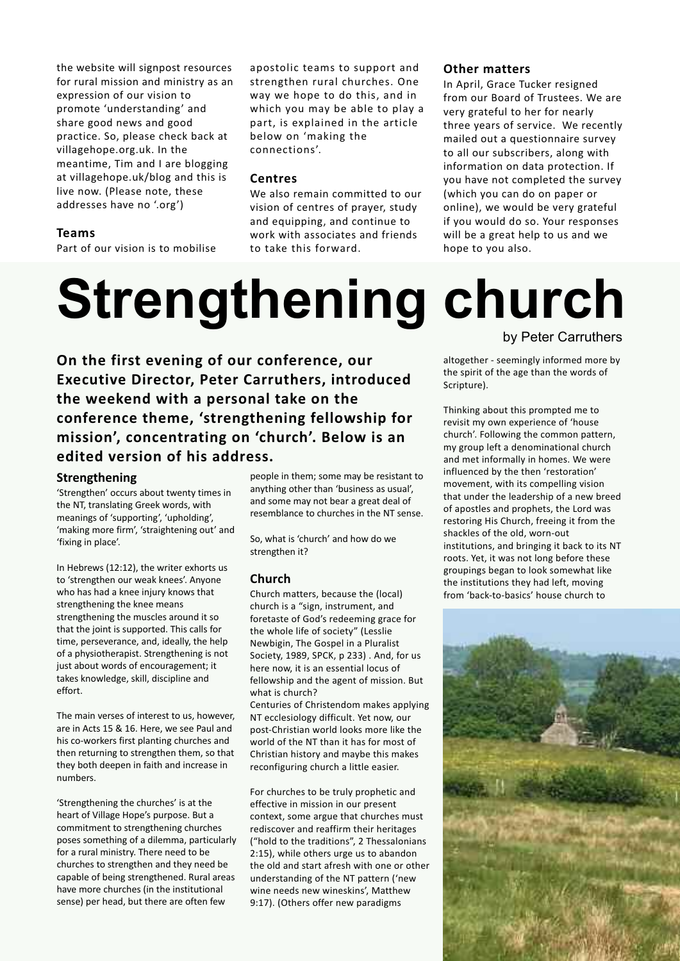the website will signpost resources for rural mission and ministry as an expression of our vision to promote 'understanding' and share good news and good practice. So, please check back at villagehope.org.uk. In the meantime, Tim and I are blogging at villagehope.uk/blog and this is live now. (Please note, these addresses have no '.org')

## **Teams**

Part of our vision is to mobilise

apostolic teams to support and strengthen rural churches. One way we hope to do this, and in which you may be able to play a part, is explained in the article below on 'making the connections'.

### **Centres**

We also remain committed to our vision of centres of prayer, study and equipping, and continue to work with associates and friends to take this forward.

## **Other matters**

In April, Grace Tucker resigned from our Board of Trustees. We are very grateful to her for nearly three years of service. We recently mailed out a questionnaire survey to all our subscribers, along with information on data protection. If you have not completed the survey (which you can do on paper or online), we would be very grateful if you would do so. Your responses will be a great help to us and we hope to you also.

## **Strengthening church**

## by Peter Carruthers

**On the first evening of our conference, our Executive Director, Peter Carruthers, introduced the weekend with a personal take on the conference theme, 'strengthening fellowship for mission', concentrating on 'church'. Below is an edited version of his address.**

### **Strengthening**

'Strengthen' occurs about twenty times in the NT, translating Greek words, with meanings of 'supporting', 'upholding', 'making more firm', 'straightening out' and 'fixing in place'.

In Hebrews (12:12), the writer exhorts us to 'strengthen our weak knees'. Anyone who has had a knee injury knows that strengthening the knee means strengthening the muscles around it so that the joint is supported. This calls for time, perseverance, and, ideally, the help of a physiotherapist. Strengthening is not just about words of encouragement; it takes knowledge, skill, discipline and effort.

The main verses of interest to us, however, are in Acts 15 & 16. Here, we see Paul and his co-workers first planting churches and then returning to strengthen them, so that they both deepen in faith and increase in numbers.

'Strengthening the churches' is at the heart of Village Hope's purpose. But a commitment to strengthening churches poses something of a dilemma, particularly for a rural ministry. There need to be churches to strengthen and they need be capable of being strengthened. Rural areas have more churches (in the institutional sense) per head, but there are often few

people in them; some may be resistant to anything other than 'business as usual', and some may not bear a great deal of resemblance to churches in the NT sense.

So, what is 'church' and how do we strengthen it?

## **Church**

Church matters, because the (local) church is a "sign, instrument, and foretaste of God's redeeming grace for the whole life of society" (Lesslie Newbigin, The Gospel in a Pluralist Society, 1989, SPCK, p 233) . And, for us here now, it is an essential locus of fellowship and the agent of mission. But what is church?

Centuries of Christendom makes applying NT ecclesiology difficult. Yet now, our post-Christian world looks more like the world of the NT than it has for most of Christian history and maybe this makes reconfiguring church a little easier.

For churches to be truly prophetic and effective in mission in our present context, some argue that churches must rediscover and reaffirm their heritages ("hold to the traditions", 2 Thessalonians 2:15), while others urge us to abandon the old and start afresh with one or other understanding of the NT pattern ('new wine needs new wineskins', Matthew 9:17). (Others offer new paradigms

the spirit of the age than the words of Scripture). Thinking about this prompted me to

altogether - seemingly informed more by

revisit my own experience of 'house church'. Following the common pattern, my group left a denominational church and met informally in homes. We were influenced by the then 'restoration' movement, with its compelling vision that under the leadership of a new breed of apostles and prophets, the Lord was restoring His Church, freeing it from the shackles of the old, worn-out institutions, and bringing it back to its NT roots. Yet, it was not long before these groupings began to look somewhat like the institutions they had left, moving from 'back-to-basics' house church to

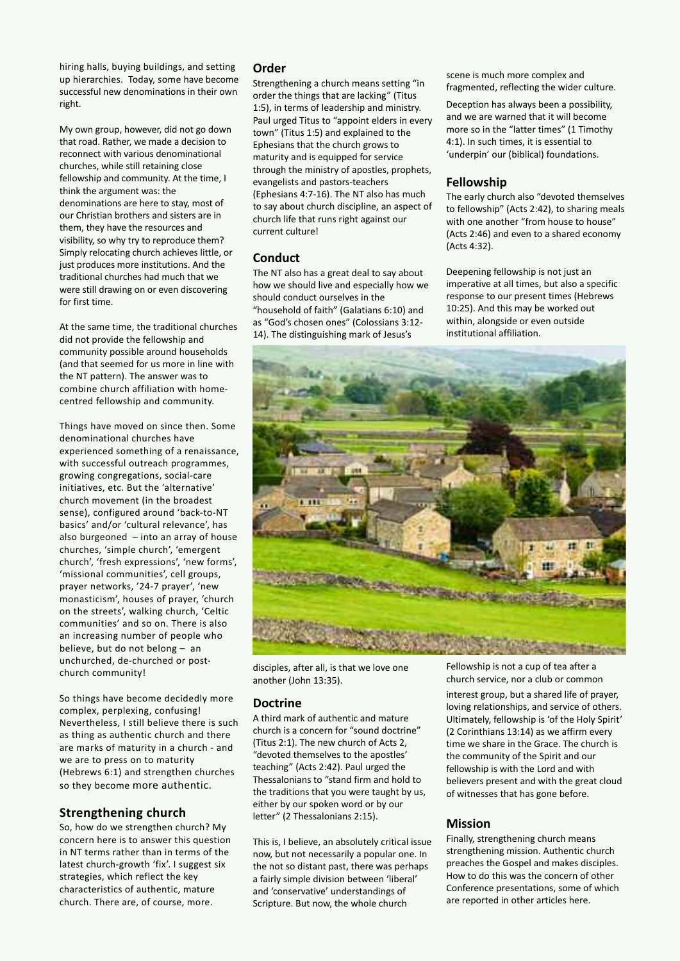hiring halls, buying buildings, and setting up hierarchies. Today, some have become successful new denominations in their own right.

My own group, however, did not go down that road. Rather, we made a decision to reconnect with various denominational churches, while still retaining close fellowship and community. At the time, I think the argument was: the denominations are here to stay, most of our Christian brothers and sisters are in them, they have the resources and visibility, so why try to reproduce them? Simply relocating church achieves little, or just produces more institutions. And the traditional churches had much that we were still drawing on or even discovering for first time.

At the same time, the traditional churches did not provide the fellowship and community possible around households (and that seemed for us more in line with the NT pattern). The answer was to combine church affiliation with homecentred fellowship and community.

Things have moved on since then. Some denominational churches have experienced something of a renaissance, with successful outreach programmes, growing congregations, social-care initiatives, etc. But the 'alternative' church movement (in the broadest sense), configured around 'back-to-NT basics' and/or 'cultural relevance', has also burgeoned  $-$  into an array of house churches, 'simple church', 'emergent church', 'fresh expressions', 'new forms', 'missional communities', cell groups, prayer networks, '24-7 prayer', 'new monasticism', houses of prayer, 'church on the streets', walking church, 'Celtic communities' and so on. There is also an increasing number of people who believe, but do not belong – an unchurched, de-churched or postchurch community!

So things have become decidedly more complex, perplexing, confusing! Nevertheless, I still believe there is such as thing as authentic church and there are marks of maturity in a church - and we are to press on to maturity (Hebrews 6:1) and strengthen churches so they become more authentic.

## **Strengthening church**

So, how do we strengthen church? My concern here is to answer this question in NT terms rather than in terms of the latest church-growth 'fix'. I suggest six strategies, which reflect the key characteristics of authentic, mature church. There are, of course, more.

## **Order**

Strengthening a church means setting "in order the things that are lacking" (Titus 1:5), in terms of leadership and ministry. Paul urged Titus to "appoint elders in every town" (Titus 1:5) and explained to the Ephesians that the church grows to maturity and is equipped for service through the ministry of apostles, prophets, evangelists and pastors-teachers (Ephesians 4:7-16). The NT also has much to say about church discipline, an aspect of church life that runs right against our current culture!

## **Conduct**

The NT also has a great deal to say about how we should live and especially how we should conduct ourselves in the "household of faith" (Galatians 6:10) and as "God's chosen ones" (Colossians 3:12- 14). The distinguishing mark of Jesus's

scene is much more complex and fragmented, reflecting the wider culture.

Deception has always been a possibility, and we are warned that it will become more so in the "latter times" (1 Timothy 4:1). In such times, it is essential to 'underpin' our (biblical) foundations.

## **Fellowship**

The early church also "devoted themselves to fellowship" (Acts 2:42), to sharing meals with one another "from house to house" (Acts 2:46) and even to a shared economy (Acts 4:32).

Deepening fellowship is not just an imperative at all times, but also a specific response to our present times (Hebrews 10:25). And this may be worked out within, alongside or even outside institutional affiliation.



disciples, after all, is that we love one another (John 13:35).

## **Doctrine**

A third mark of authentic and mature church is a concern for "sound doctrine" (Titus 2:1). The new church of Acts 2, "devoted themselves to the apostles' teaching" (Acts 2:42). Paul urged the Thessalonians to "stand firm and hold to the traditions that you were taught by us, either by our spoken word or by our letter" (2 Thessalonians 2:15).

This is, I believe, an absolutely critical issue now, but not necessarily a popular one. In the not so distant past, there was perhaps a fairly simple division between 'liberal' and 'conservative' understandings of Scripture. But now, the whole church

Fellowship is not a cup of tea after a church service, nor a club or common

interest group, but a shared life of prayer, loving relationships, and service of others. Ultimately, fellowship is 'of the Holy Spirit' (2 Corinthians 13:14) as we affirm every time we share in the Grace. The church is the community of the Spirit and our fellowship is with the Lord and with believers present and with the great cloud of witnesses that has gone before.

## **Mission**

Finally, strengthening church means strengthening mission. Authentic church preaches the Gospel and makes disciples. How to do this was the concern of other Conference presentations, some of which are reported in other articles here.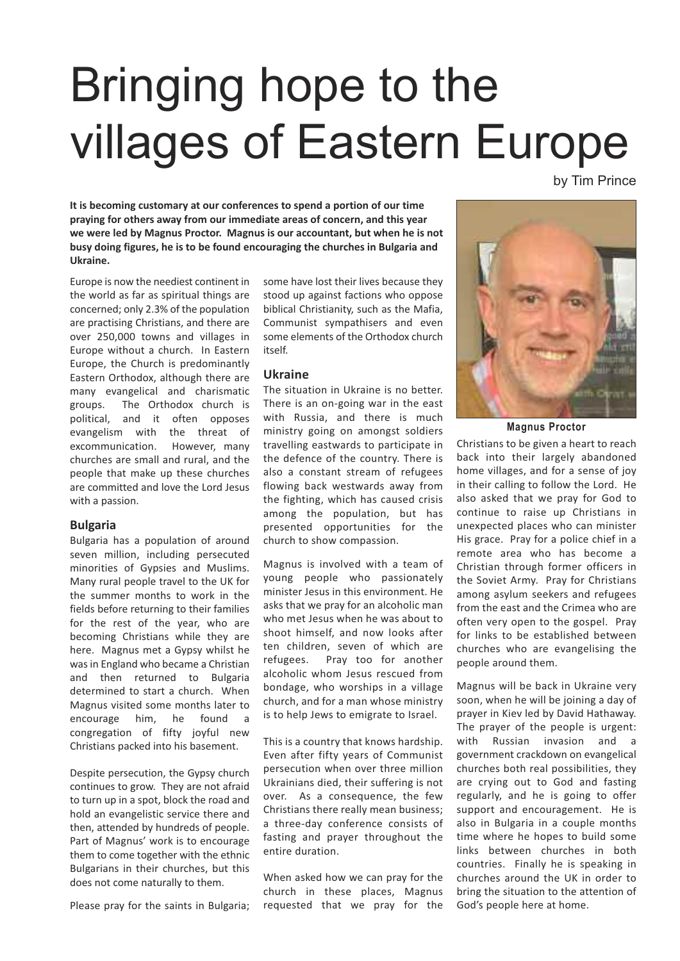## Bringing hope to the villages of Eastern Europe

by Tim Prince

**It is becoming customary at our conferences to spend a portion of our time praying for others away from our immediate areas of concern, and this year we were led by Magnus Proctor. Magnus is our accountant, but when he is not busy doing figures, he is to be found encouraging the churches in Bulgaria and Ukraine.**

Europe is now the neediest continent in the world as far as spiritual things are concerned; only 2.3% of the population are practising Christians, and there are over 250,000 towns and villages in Europe without a church. In Eastern Europe, the Church is predominantly Eastern Orthodox, although there are many evangelical and charismatic groups. The Orthodox church is political, and it often opposes evangelism with the threat of excommunication. However, many churches are small and rural, and the people that make up these churches are committed and love the Lord Jesus with a passion.

## **Bulgaria**

Bulgaria has a population of around seven million, including persecuted minorities of Gypsies and Muslims. Many rural people travel to the UK for the summer months to work in the fields before returning to their families for the rest of the year, who are becoming Christians while they are here. Magnus met a Gypsy whilst he was in England who became a Christian and then returned to Bulgaria determined to start a church. When Magnus visited some months later to encourage him, he found a congregation of fifty joyful new Christians packed into his basement.

Despite persecution, the Gypsy church continues to grow. They are not afraid to turn up in a spot, block the road and hold an evangelistic service there and then, attended by hundreds of people. Part of Magnus' work is to encourage them to come together with the ethnic Bulgarians in their churches, but this does not come naturally to them.

Please pray for the saints in Bulgaria;

some have lost their lives because they stood up against factions who oppose biblical Christianity, such as the Mafia, Communist sympathisers and even some elements of the Orthodox church itself.

## **Ukraine**

The situation in Ukraine is no better. There is an on-going war in the east with Russia, and there is much ministry going on amongst soldiers travelling eastwards to participate in the defence of the country. There is also a constant stream of refugees flowing back westwards away from the fighting, which has caused crisis among the population, but has presented opportunities for the church to show compassion.

Magnus is involved with a team of young people who passionately minister Jesus in this environment. He asks that we pray for an alcoholic man who met Jesus when he was about to shoot himself, and now looks after ten children, seven of which are refugees. Pray too for another alcoholic whom Jesus rescued from bondage, who worships in a village church, and for a man whose ministry is to help Jews to emigrate to Israel.

This is a country that knows hardship. Even after fifty years of Communist persecution when over three million Ukrainians died, their suffering is not over. As a consequence, the few Christians there really mean business; a three-day conference consists of fasting and prayer throughout the entire duration.

When asked how we can pray for the church in these places, Magnus requested that we pray for the



**Magnus Proctor**

Christians to be given a heart to reach back into their largely abandoned home villages, and for a sense of joy in their calling to follow the Lord. He also asked that we pray for God to continue to raise up Christians in unexpected places who can minister His grace. Pray for a police chief in a remote area who has become a Christian through former officers in the Soviet Army. Pray for Christians among asylum seekers and refugees from the east and the Crimea who are often very open to the gospel. Pray for links to be established between churches who are evangelising the people around them.

Magnus will be back in Ukraine very soon, when he will be joining a day of prayer in Kiev led by David Hathaway. The prayer of the people is urgent: with Russian invasion and a government crackdown on evangelical churches both real possibilities, they are crying out to God and fasting regularly, and he is going to offer support and encouragement. He is also in Bulgaria in a couple months time where he hopes to build some links between churches in both countries. Finally he is speaking in churches around the UK in order to bring the situation to the attention of God's people here at home.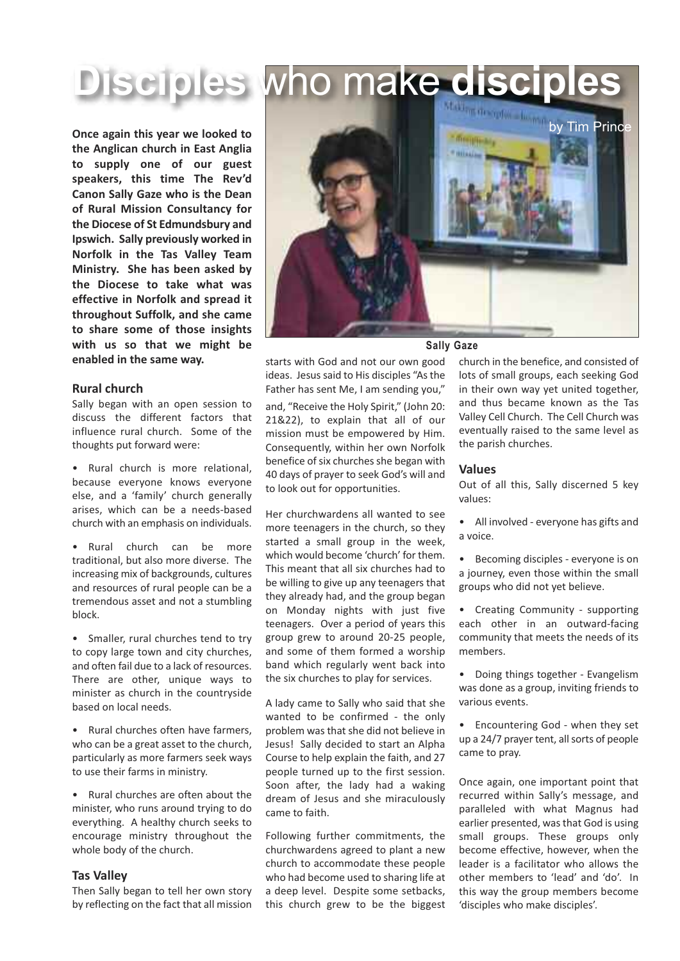**Disciples who make discipl** 

**Once again this year we looked to the Anglican church in East Anglia to supply one of our guest speakers, this time The Rev'd Canon Sally Gaze who is the Dean of Rural Mission Consultancy for the Diocese of St Edmundsbury and Ipswich. Sally previously worked in Norfolk in the Tas Valley Team Ministry. She has been asked by the Diocese to take what was effective in Norfolk and spread it throughout Suffolk, and she came to share some of those insights with us so that we might be enabled in the same way.**

## **Rural church**

Sally began with an open session to discuss the different factors that influence rural church. Some of the thoughts put forward were:

• Rural church is more relational, because everyone knows everyone else, and a 'family' church generally arises, which can be a needs-based church with an emphasis on individuals.

• Rural church can be more traditional, but also more diverse. The increasing mix of backgrounds, cultures and resources of rural people can be a tremendous asset and not a stumbling block.

• Smaller, rural churches tend to try to copy large town and city churches, and often fail due to a lack of resources. There are other, unique ways to minister as church in the countryside based on local needs.

Rural churches often have farmers, who can be a great asset to the church, particularly as more farmers seek ways to use their farms in ministry.

• Rural churches are often about the minister, who runs around trying to do everything. A healthy church seeks to encourage ministry throughout the whole body of the church.

### **Tas Valley**

Then Sally began to tell her own story by reflecting on the fact that all mission



## **Sally Gaze**

starts with God and not our own good ideas. Jesus said to His disciples "As the Father has sent Me, I am sending you," and, "Receive the Holy Spirit," (John 20: 21&22), to explain that all of our mission must be empowered by Him. Consequently, within her own Norfolk benefice of six churches she began with 40 days of prayer to seek God's will and to look out for opportunities.

Her churchwardens all wanted to see more teenagers in the church, so they started a small group in the week, which would become 'church' for them. This meant that all six churches had to be willing to give up any teenagers that they already had, and the group began on Monday nights with just five teenagers. Over a period of years this group grew to around 20-25 people, and some of them formed a worship band which regularly went back into the six churches to play for services.

A lady came to Sally who said that she wanted to be confirmed - the only problem was that she did not believe in Jesus! Sally decided to start an Alpha Course to help explain the faith, and 27 people turned up to the first session. Soon after, the lady had a waking dream of Jesus and she miraculously came to faith.

Following further commitments, the churchwardens agreed to plant a new church to accommodate these people who had become used to sharing life at a deep level. Despite some setbacks, this church grew to be the biggest

church in the benefice, and consisted of lots of small groups, each seeking God in their own way yet united together, and thus became known as the Tas Valley Cell Church. The Cell Church was eventually raised to the same level as the parish churches.

#### **Values**

Out of all this, Sally discerned 5 key values:

- All involved everyone has gifts and a voice.
- Becoming disciples everyone is on a journey, even those within the small groups who did not yet believe.
- Creating Community supporting each other in an outward-facing community that meets the needs of its members.
- Doing things together Evangelism was done as a group, inviting friends to various events.

• Encountering God - when they set up a 24/7 prayer tent, all sorts of people came to pray.

Once again, one important point that recurred within Sally's message, and paralleled with what Magnus had earlier presented, was that God is using small groups. These groups only become effective, however, when the leader is a facilitator who allows the other members to 'lead' and 'do'. In this way the group members become 'disciples who make disciples'.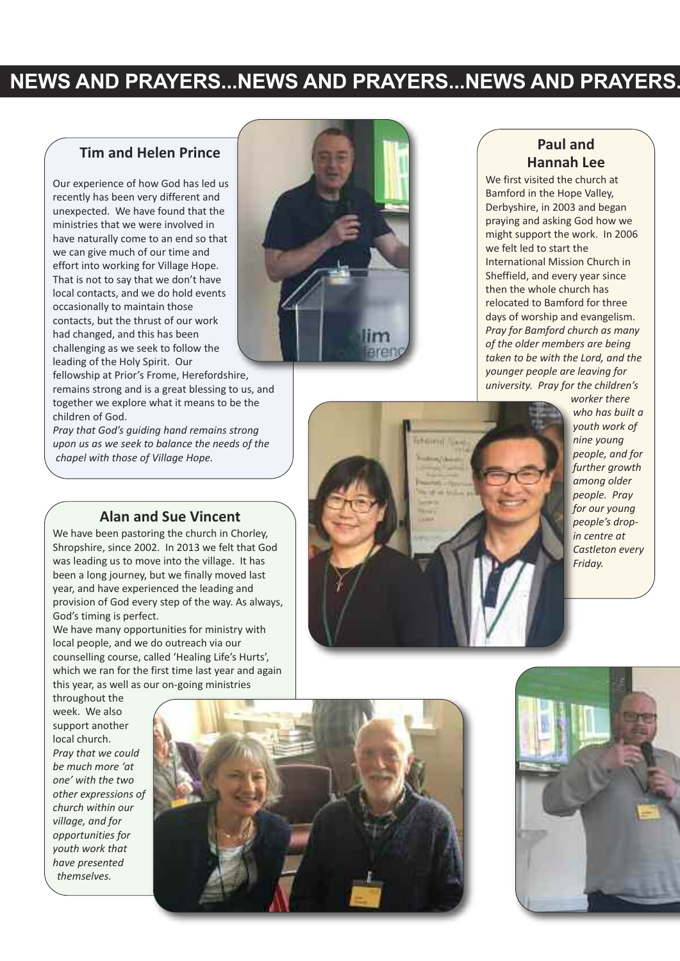## **NEWS AND PRAYERS...NEWS AND PRAYERS...NEWS AND PRAYERS.**

## **Tim and Helen Prince**

Our experience of how God has led us recently has been very different and unexpected. We have found that the ministries that we were involved in have naturally come to an end so that we can give much of our time and effort into working for Village Hope. That is not to say that we don't have local contacts, and we do hold events occasionally to maintain those contacts, but the thrust of our work had changed, and this has been challenging as we seek to follow the leading of the Holy Spirit. Our

fellowship at Prior's Frome, Herefordshire, remains strong and is a great blessing to us, and together we explore what it means to be the children of God.

*Pray that God's guiding hand remains strong upon us as we seek to balance the needs of the chapel with those of Village Hope.*



## **Paul and Hannah Lee**

We first visited the church at Bamford in the Hope Valley, Derbyshire, in 2003 and began praying and asking God how we might support the work. In 2006 we felt led to start the International Mission Church in Sheffield, and every year since then the whole church has relocated to Bamford for three days of worship and evangelism. *Pray for Bamford church as many of the older members are being taken to be with the Lord, and the younger people are leaving for university. Pray for the children's*



*worker there who has built a youth work of nine young people, and for further growth among older people. Pray for our young people's dropin centre at Castleton every Friday.*

## **Alan and Sue Vincent**

We have been pastoring the church in Chorley, Shropshire, since 2002. In 2013 we felt that God was leading us to move into the village. It has been a long journey, but we finally moved last year, and have experienced the leading and provision of God every step of the way. As always, God's timing is perfect.

We have many opportunities for ministry with local people, and we do outreach via our counselling course, called 'Healing Life's Hurts', which we ran for the first time last year and again this year, as well as our on-going ministries

throughout the week. We also support another local church. *Pray that we could be much more 'at one' with the two other expressions of church within our village, and for opportunities for youth work that have presented themselves.*



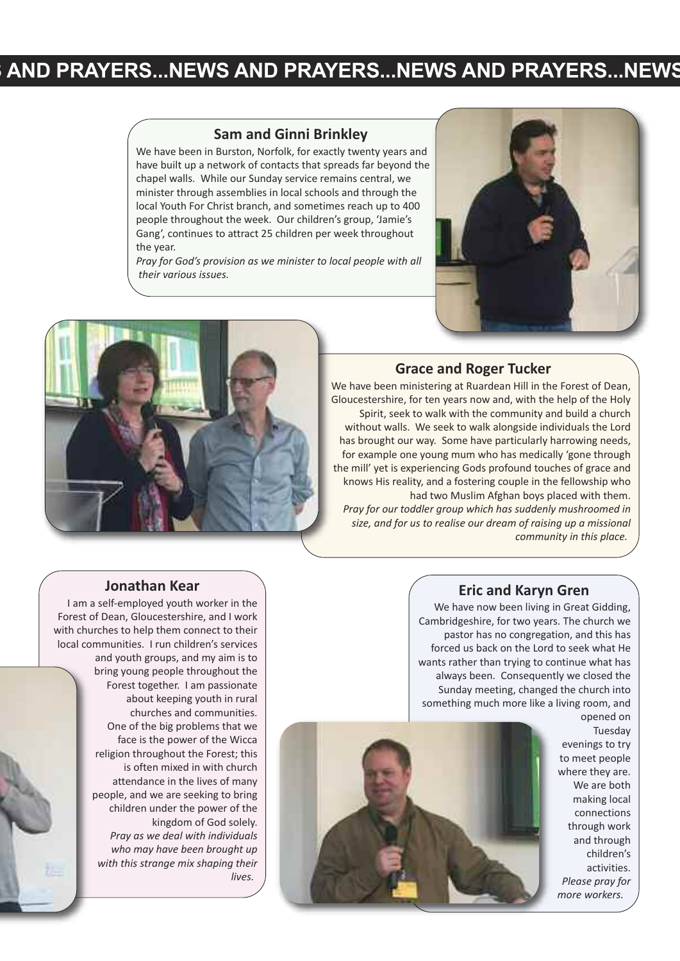## **S AND PRAYERS...NEWS AND PRAYERS...NEWS AND PRAYERS...NEWS**

## **Sam and Ginni Brinkley**

We have been in Burston, Norfolk, for exactly twenty years and have built up a network of contacts that spreads far beyond the chapel walls. While our Sunday service remains central, we minister through assemblies in local schools and through the local Youth For Christ branch, and sometimes reach up to 400 people throughout the week. Our children's group, 'Jamie's Gang', continues to attract 25 children per week throughout the year.

*Pray for God's provision as we minister to local people with all their various issues.*





## **Grace and Roger Tucker**

We have been ministering at Ruardean Hill in the Forest of Dean. Gloucestershire, for ten years now and, with the help of the Holy Spirit, seek to walk with the community and build a church without walls. We seek to walk alongside individuals the Lord has brought our way. Some have particularly harrowing needs, for example one young mum who has medically 'gone through the mill' yet is experiencing Gods profound touches of grace and knows His reality, and a fostering couple in the fellowship who had two Muslim Afghan boys placed with them. *Pray for our toddler group which has suddenly mushroomed in size, and for us to realise our dream of raising up a missional*

### *community in this place.*

## **Jonathan Kear**

I am a self-employed youth worker in the Forest of Dean, Gloucestershire, and I work with churches to help them connect to their local communities. I run children's services and youth groups, and my aim is to bring young people throughout the Forest together. I am passionate about keeping youth in rural churches and communities. One of the big problems that we face is the power of the Wicca religion throughout the Forest; this is often mixed in with church attendance in the lives of many people, and we are seeking to bring children under the power of the kingdom of God solely. *Pray as we deal with individuals who may have been brought up with this strange mix shaping their lives.*

## **Eric and Karyn Gren**

We have now been living in Great Gidding, Cambridgeshire, for two years. The church we pastor has no congregation, and this has forced us back on the Lord to seek what He wants rather than trying to continue what has always been. Consequently we closed the Sunday meeting, changed the church into something much more like a living room, and



opened on Tuesday evenings to try to meet people where they are. We are both making local connections through work and through children's activities. *Please pray for more workers.*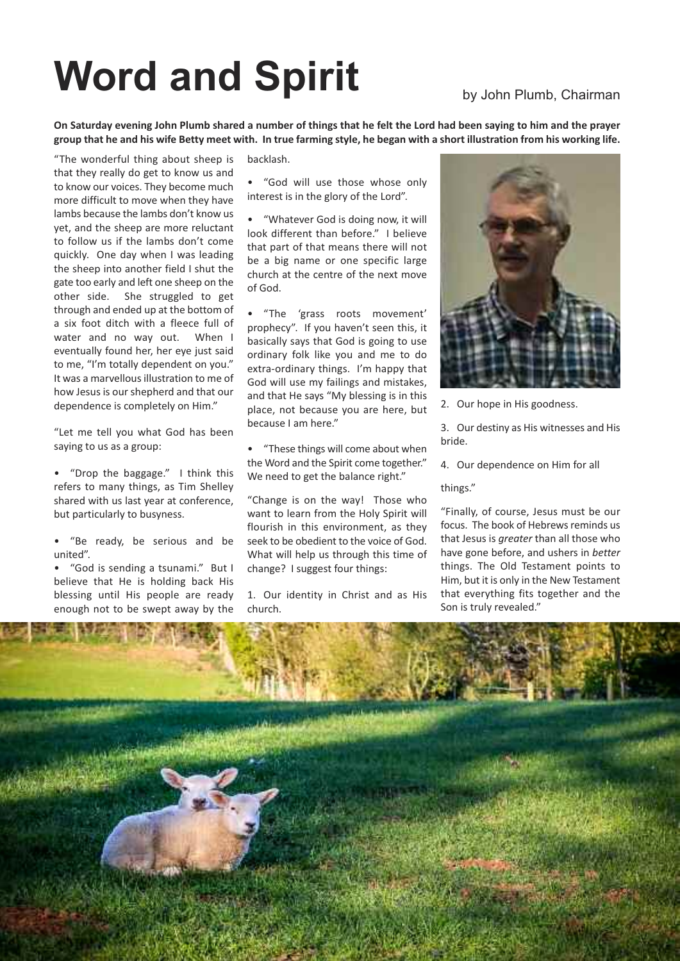## Word and Spirit by John Plumb, Chairman

On Saturday evening John Plumb shared a number of things that he felt the Lord had been saying to him and the prayer group that he and his wife Betty meet with. In true farming style, he began with a short illustration from his working life.

"The wonderful thing about sheep is that they really do get to know us and to know our voices. They become much more difficult to move when they have lambs because the lambs don't know us yet, and the sheep are more reluctant to follow us if the lambs don't come quickly. One day when I was leading the sheep into another field I shut the gate too early and left one sheep on the other side. She struggled to get through and ended up at the bottom of a six foot ditch with a fleece full of water and no way out. When I eventually found her, her eye just said to me, "I'm totally dependent on you." It was a marvellous illustration to me of how Jesus is our shepherd and that our dependence is completely on Him."

"Let me tell you what God has been saying to us as a group:

• "Drop the baggage." I think this refers to many things, as Tim Shelley shared with us last year at conference, but particularly to busyness.

• "Be ready, be serious and be united".

• "God is sending a tsunami." But I believe that He is holding back His blessing until His people are ready enough not to be swept away by the

backlash.

"God will use those whose only interest is in the glory of the Lord".

• "Whatever God is doing now, it will look different than before." I believe that part of that means there will not be a big name or one specific large church at the centre of the next move of God.

• "The 'grass roots movement' prophecy". If you haven't seen this, it basically says that God is going to use ordinary folk like you and me to do extra-ordinary things. I'm happy that God will use my failings and mistakes, and that He says "My blessing is in this place, not because you are here, but because I am here."

• "These things will come about when the Word and the Spirit come together." We need to get the balance right."

"Change is on the way! Those who want to learn from the Holy Spirit will flourish in this environment, as they seek to be obedient to the voice of God. What will help us through this time of change? I suggest four things:

1. Our identity in Christ and as His church.



2. Our hope in His goodness.

3. Our destiny as His witnesses and His bride.

4. Our dependence on Him for all

#### things."

"Finally, of course, Jesus must be our focus. The book of Hebrews reminds us that Jesus is *greater* than all those who have gone before, and ushers in *better* things. The Old Testament points to Him, but it is only in the New Testament that everything fits together and the Son is truly revealed."

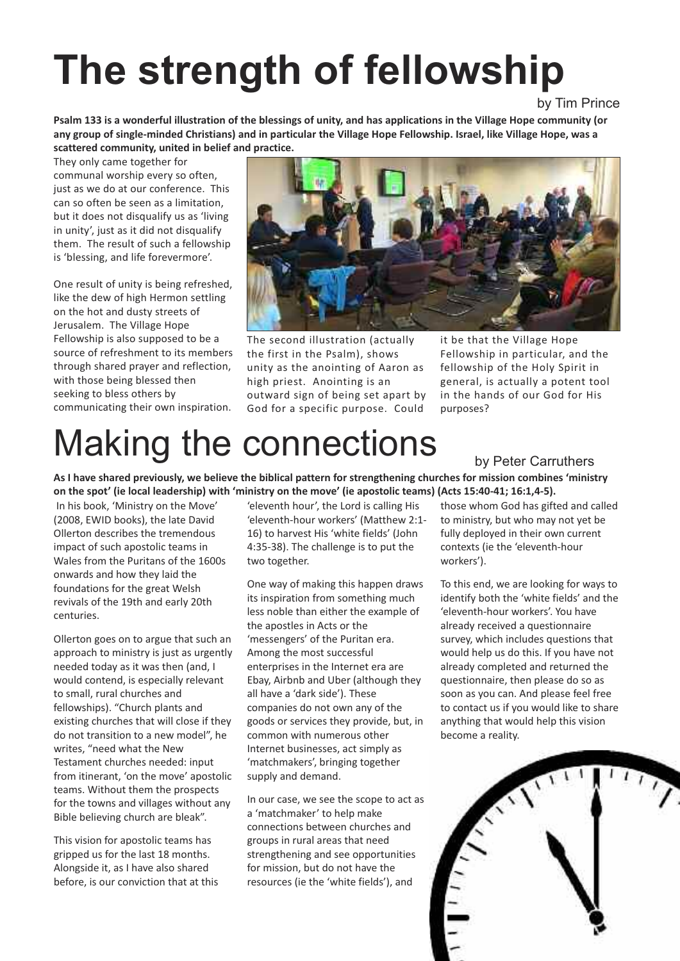## **The strength of fellowship**

by Tim Prince

Psalm 133 is a wonderful illustration of the blessings of unity, and has applications in the Village Hope community (or any group of single-minded Christians) and in particular the Village Hope Fellowship. Israel, like Village Hope, was a **scattered community, united in belief and practice.**

They only came together for communal worship every so often, just as we do at our conference. This can so often be seen as a limitation, but it does not disqualify us as 'living in unity', just as it did not disqualify them. The result of such a fellowship is 'blessing, and life forevermore'.

One result of unity is being refreshed, like the dew of high Hermon settling on the hot and dusty streets of Jerusalem. The Village Hope Fellowship is also supposed to be a source of refreshment to its members through shared prayer and reflection, with those being blessed then seeking to bless others by communicating their own inspiration.



The second illustration (actually the first in the Psalm), shows unity as the anointing of Aaron as high priest. Anointing is an outward sign of being set apart by God for a specific purpose. Could it be that the Village Hope Fellowship in particular, and the fellowship of the Holy Spirit in general, is actually a potent tool in the hands of our God for His purposes?

## M aking the connections

by Peter Carruthers

As I have shared previously, we believe the biblical pattern for strengthening churches for mission combines 'ministry on the spot' (ie local leadership) with 'ministry on the move' (ie apostolic teams) (Acts 15:40-41; 16:1,4-5).

In his book, 'Ministry on the Move' (2008, EWID books), the late David Ollerton describes the tremendous impact of such apostolic teams in Wales from the Puritans of the 1600s onwards and how they laid the foundations for the great Welsh revivals of the 19th and early 20th centuries.

Ollerton goes on to argue that such an approach to ministry is just as urgently needed today as it was then (and, I would contend, is especially relevant to small, rural churches and fellowships). "Church plants and existing churches that will close if they do not transition to a new model", he writes, "need what the New Testament churches needed: input from itinerant, 'on the move' apostolic teams. Without them the prospects for the towns and villages without any Bible believing church are bleak".

This vision for apostolic teams has gripped us for the last 18 months. Alongside it, as I have also shared before, is our conviction that at this 'eleventh hour', the Lord is calling His 'eleventh-hour workers' (Matthew 2:1- 16) to harvest His 'white fields' (John 4:35-38). The challenge is to put the two together.

One way of making this happen draws its inspiration from something much less noble than either the example of the apostles in Acts or the 'messengers' of the Puritan era. Among the most successful enterprises in the Internet era are Ebay, Airbnb and Uber (although they all have a 'dark side'). These companies do not own any of the goods or services they provide, but, in common with numerous other Internet businesses, act simply as 'matchmakers', bringing together supply and demand.

In our case, we see the scope to act as a 'matchmaker' to help make connections between churches and groups in rural areas that need strengthening and see opportunities for mission, but do not have the resources (ie the 'white fields'), and

those whom God has gifted and called to ministry, but who may not yet be fully deployed in their own current contexts (ie the 'eleventh-hour workers').

To this end, we are looking for ways to identify both the 'white fields' and the 'eleventh-hour workers'. You have already received a questionnaire survey, which includes questions that would help us do this. If you have not already completed and returned the questionnaire, then please do so as soon as you can. And please feel free to contact us if you would like to share anything that would help this vision become a reality.

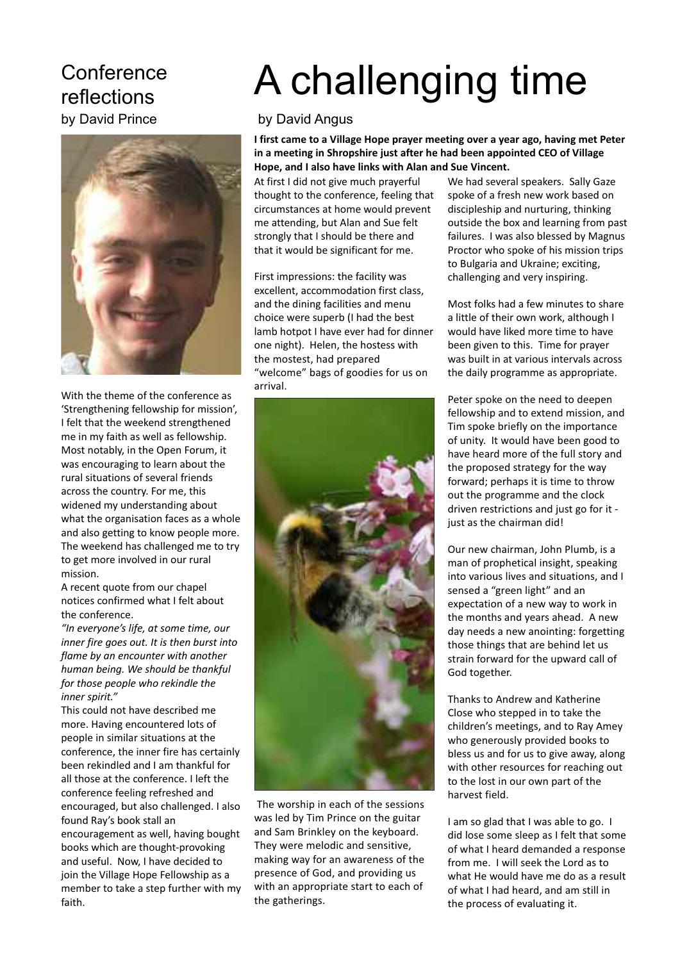## **Conference** reflections by David Prince



With the theme of the conference as 'Strengthening fellowship for mission', I felt that the weekend strengthened me in my faith as well as fellowship. Most notably, in the Open Forum, it was encouraging to learn about the rural situations of several friends across the country. For me, this widened my understanding about what the organisation faces as a whole and also getting to know people more. The weekend has challenged me to try to get more involved in our rural mission.

A recent quote from our chapel notices confirmed what I felt about the conference.

*"In everyone's life, at some time, our inner fire goes out. It is then burst into flame by an encounter with another human being. We should be thankful for those people who rekindle the inner spirit."*

This could not have described me more. Having encountered lots of people in similar situations at the conference, the inner fire has certainly been rekindled and I am thankful for all those at the conference. I left the conference feeling refreshed and encouraged, but also challenged. I also found Ray's book stall an encouragement as well, having bought books which are thought-provoking and useful. Now, I have decided to join the Village Hope Fellowship as a member to take a step further with my faith.

## A challenging time

## by David Angus

**I first came to a Village Hope prayer meeting over a year ago, having met Peter in a meeting in Shropshire just after he had been appointed CEO of Village Hope, and I also have links with Alan and Sue Vincent.**

At first I did not give much prayerful thought to the conference, feeling that circumstances at home would prevent me attending, but Alan and Sue felt strongly that I should be there and that it would be significant for me.

First impressions: the facility was excellent, accommodation first class, and the dining facilities and menu choice were superb (I had the best lamb hotpot I have ever had for dinner one night). Helen, the hostess with the mostest, had prepared "welcome" bags of goodies for us on arrival.



The worship in each of the sessions was led by Tim Prince on the guitar and Sam Brinkley on the keyboard. They were melodic and sensitive, making way for an awareness of the presence of God, and providing us with an appropriate start to each of the gatherings.

We had several speakers. Sally Gaze spoke of a fresh new work based on discipleship and nurturing, thinking outside the box and learning from past failures. I was also blessed by Magnus Proctor who spoke of his mission trips to Bulgaria and Ukraine; exciting, challenging and very inspiring.

Most folks had a few minutes to share a little of their own work, although I would have liked more time to have been given to this. Time for prayer was built in at various intervals across the daily programme as appropriate.

Peter spoke on the need to deepen fellowship and to extend mission, and Tim spoke briefly on the importance of unity. It would have been good to have heard more of the full story and the proposed strategy for the way forward; perhaps it is time to throw out the programme and the clock driven restrictions and just go for it just as the chairman did!

Our new chairman, John Plumb, is a man of prophetical insight, speaking into various lives and situations, and I sensed a "green light" and an expectation of a new way to work in the months and years ahead. A new day needs a new anointing: forgetting those things that are behind let us strain forward for the upward call of God together.

Thanks to Andrew and Katherine Close who stepped in to take the children's meetings, and to Ray Amey who generously provided books to bless us and for us to give away, along with other resources for reaching out to the lost in our own part of the harvest field.

I am so glad that I was able to go. I did lose some sleep as I felt that some of what I heard demanded a response from me. I will seek the Lord as to what He would have me do as a result of what I had heard, and am still in the process of evaluating it.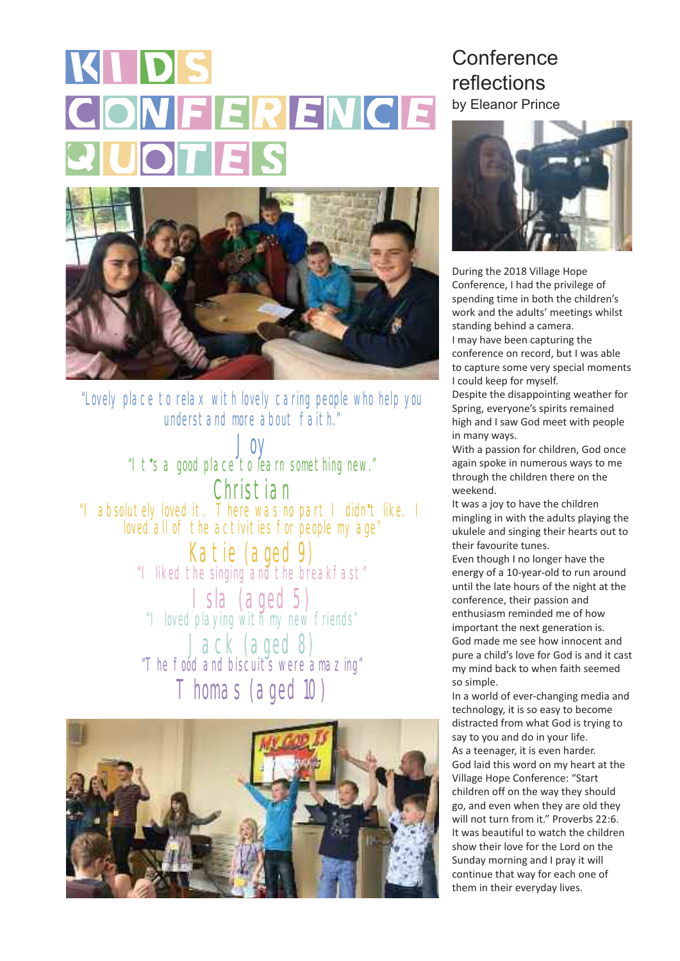## KIDS CONFERENCE **QUOTES**



"Lovely place to relax with lovely caring people who help you understand nore about faith"

Joy "It**'**<sup>s</sup> <sup>a</sup> good place to learn something new." Christian "I absolutely loved it. There was no part <sup>I</sup> didn**'**<sup>t</sup> like. <sup>I</sup> loved all of the activities for people my age"

**Katie (aged 9)**<br>"I liked the singing and the breakfast"

Isla (aged 5) "I loved playing with my new friends"

Jack (aged 8) "The food and biscuits were amazing" Thomas (aged 10)



## **Conference** reflections by Eleanor Prince



During the 2018 Village Hope Conference, I had the privilege of spending time in both the children's work and the adults' meetings whilst standing behind a camera. I may have been capturing the conference on record, but I was able to capture some very special moments I could keep for myself.

Despite the disappointing weather for Spring, everyone's spirits remained high and I saw God meet with people in many ways.

With a passion for children, God once again spoke in numerous ways to me through the children there on the weekend.

It was a joy to have the children mingling in with the adults playing the ukulele and singing their hearts out to their favourite tunes.

Even though I no longer have the energy of a 10-year-old to run around until the late hours of the night at the conference, their passion and enthusiasm reminded me of how important the next generation is. God made me see how innocent and pure a child's love for God is and it cast my mind back to when faith seemed so simple.

In a world of ever-changing media and technology, it is so easy to become distracted from what God is trying to say to you and do in your life. As a teenager, it is even harder. God laid this word on my heart at the Village Hope Conference: "Start children off on the way they should go, and even when they are old they will not turn from it." Proverbs 22:6. It was beautiful to watch the children show their love for the Lord on the Sunday morning and I pray it will continue that way for each one of them in their everyday lives.